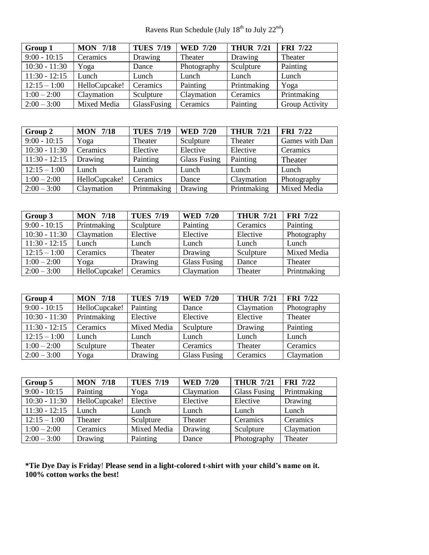Ravens Run Schedule (July  $18^{th}$  to July  $22^{nd}$ )

| Group 1         | <b>MON 7/18</b> | <b>TUES 7/19</b> | <b>WED 7/20</b> | <b>THUR 7/21</b> | <b>FRI</b> 7/22 |
|-----------------|-----------------|------------------|-----------------|------------------|-----------------|
| $9:00 - 10:15$  | Ceramics        | Drawing          | Theater         | Drawing          | Theater         |
| $10:30 - 11:30$ | Yoga            | Dance            | Photography     | Sculpture        | Painting        |
| $11:30 - 12:15$ | Lunch           | Lunch            | Lunch           | Lunch            | Lunch           |
| $12:15 - 1:00$  | HelloCupcake!   | Ceramics         | Painting        | Printmaking      | Yoga            |
| $1:00 - 2:00$   | Claymation      | Sculpture        | Claymation      | Ceramics         | Printmaking     |
| $2:00 - 3:00$   | Mixed Media     | GlassFusing      | Ceramics        | Painting         | Group Activity  |

| Group 2         | <b>MON 7/18</b> | <b>TUES 7/19</b> | <b>WED 7/20</b>     | <b>THUR 7/21</b> | <b>FRI</b> 7/22 |
|-----------------|-----------------|------------------|---------------------|------------------|-----------------|
| $9:00 - 10:15$  | Yoga            | Theater          | Sculpture           | Theater          | Games with Dan  |
| $10:30 - 11:30$ | Ceramics        | Elective         | Elective            | Elective         | Ceramics        |
| $11:30 - 12:15$ | Drawing         | Painting         | <b>Glass Fusing</b> | Painting         | Theater         |
| $12:15 - 1:00$  | Lunch           | Lunch            | Lunch               | Lunch            | Lunch           |
| $1:00 - 2:00$   | HelloCupcake!   | Ceramics         | Dance               | Claymation       | Photography     |
| $2:00 - 3:00$   | Claymation      | Printmaking      | Drawing             | Printmaking      | Mixed Media     |

| Group 3         | <b>MON 7/18</b> | <b>TUES 7/19</b> | <b>WED 7/20</b>     | <b>THUR 7/21</b> | <b>FRI</b> 7/22 |
|-----------------|-----------------|------------------|---------------------|------------------|-----------------|
| $9:00 - 10:15$  | Printmaking     | Sculpture        | Painting            | Ceramics         | Painting        |
| $10:30 - 11:30$ | Claymation      | Elective         | Elective            | Elective         | Photography     |
| $11:30 - 12:15$ | Lunch           | Lunch            | Lunch               | Lunch            | Lunch           |
| $12:15 - 1:00$  | Ceramics        | Theater          | Drawing             | Sculpture        | Mixed Media     |
| $1:00 - 2:00$   | Yoga            | Drawing          | <b>Glass Fusing</b> | Dance            | Theater         |
| $2:00 - 3:00$   | HelloCupcake!   | Ceramics         | Claymation          | Theater          | Printmaking     |

| Group 4         | <b>MON 7/18</b> | <b>TUES 7/19</b> | <b>WED 7/20</b>     | <b>THUR 7/21</b> | <b>FRI</b> 7/22 |
|-----------------|-----------------|------------------|---------------------|------------------|-----------------|
| $9:00 - 10:15$  | HelloCupcake!   | Painting         | Dance               | Claymation       | Photography     |
| $10:30 - 11:30$ | Printmaking     | Elective         | Elective            | Elective         | Theater         |
| $11:30 - 12:15$ | Ceramics        | Mixed Media      | Sculpture           | Drawing          | Painting        |
| $12:15 - 1:00$  | Lunch           | Lunch            | Lunch               | Lunch            | Lunch           |
| $1:00 - 2:00$   | Sculpture       | Theater          | Ceramics            | Theater          | Ceramics        |
| $2:00 - 3:00$   | Yoga            | Drawing          | <b>Glass Fusing</b> | Ceramics         | Claymation      |

| Group 5         | <b>MON 7/18</b> | <b>TUES 7/19</b> | <b>WED 7/20</b> | <b>THUR 7/21</b>    | <b>FRI</b> 7/22 |
|-----------------|-----------------|------------------|-----------------|---------------------|-----------------|
| $9:00 - 10:15$  | Painting        | Yoga             | Claymation      | <b>Glass Fusing</b> | Printmaking     |
| $10:30 - 11:30$ | HelloCupcake!   | Elective         | Elective        | Elective            | Drawing         |
| $11:30 - 12:15$ | Lunch           | Lunch            | Lunch           | Lunch               | Lunch           |
| $12:15 - 1:00$  | Theater         | Sculpture        | Theater         | Ceramics            | Ceramics        |
| $1:00 - 2:00$   | Ceramics        | Mixed Media      | Drawing         | Sculpture           | Claymation      |
| $2:00 - 3:00$   | Drawing         | Painting         | Dance           | Photography         | Theater         |

**\*Tie Dye Day is Friday**! **Please send in a light-colored t-shirt with your child's name on it. 100% cotton works the best!**